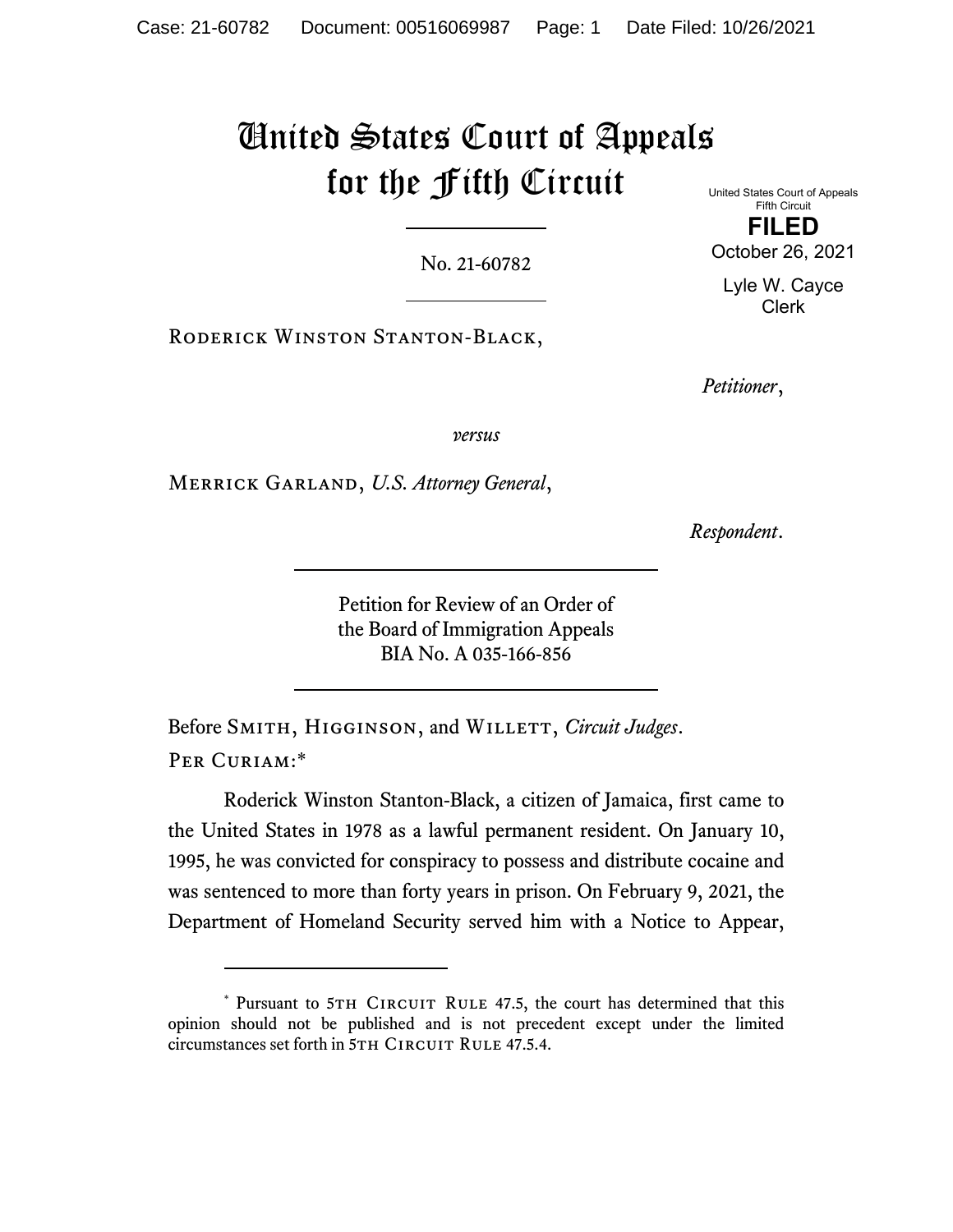# United States Court of Appeals for the Fifth Circuit

No. 21-60782

United States Court of Appeals Fifth Circuit **FILED**  October 26, 2021

Lyle W. Cayce Clerk

Roderick Winston Stanton-Black,

*Petitioner*,

*versus*

Merrick Garland, *U.S. Attorney General*,

*Respondent*.

Petition for Review of an Order of the Board of Immigration Appeals BIA No. A 035-166-856

Before SMITH, HIGGINSON, and WILLETT, *Circuit Judges*. PER CURIAM:\*

Roderick Winston Stanton-Black, a citizen of Jamaica, first came to the United States in 1978 as a lawful permanent resident. On January 10, 1995, he was convicted for conspiracy to possess and distribute cocaine and was sentenced to more than forty years in prison. On February 9, 2021, the Department of Homeland Security served him with a Notice to Appear,

<sup>\*</sup> Pursuant to 5TH CIRCUIT RULE 47.5, the court has determined that this opinion should not be published and is not precedent except under the limited circumstances set forth in 5TH CIRCUIT RULE 47.5.4.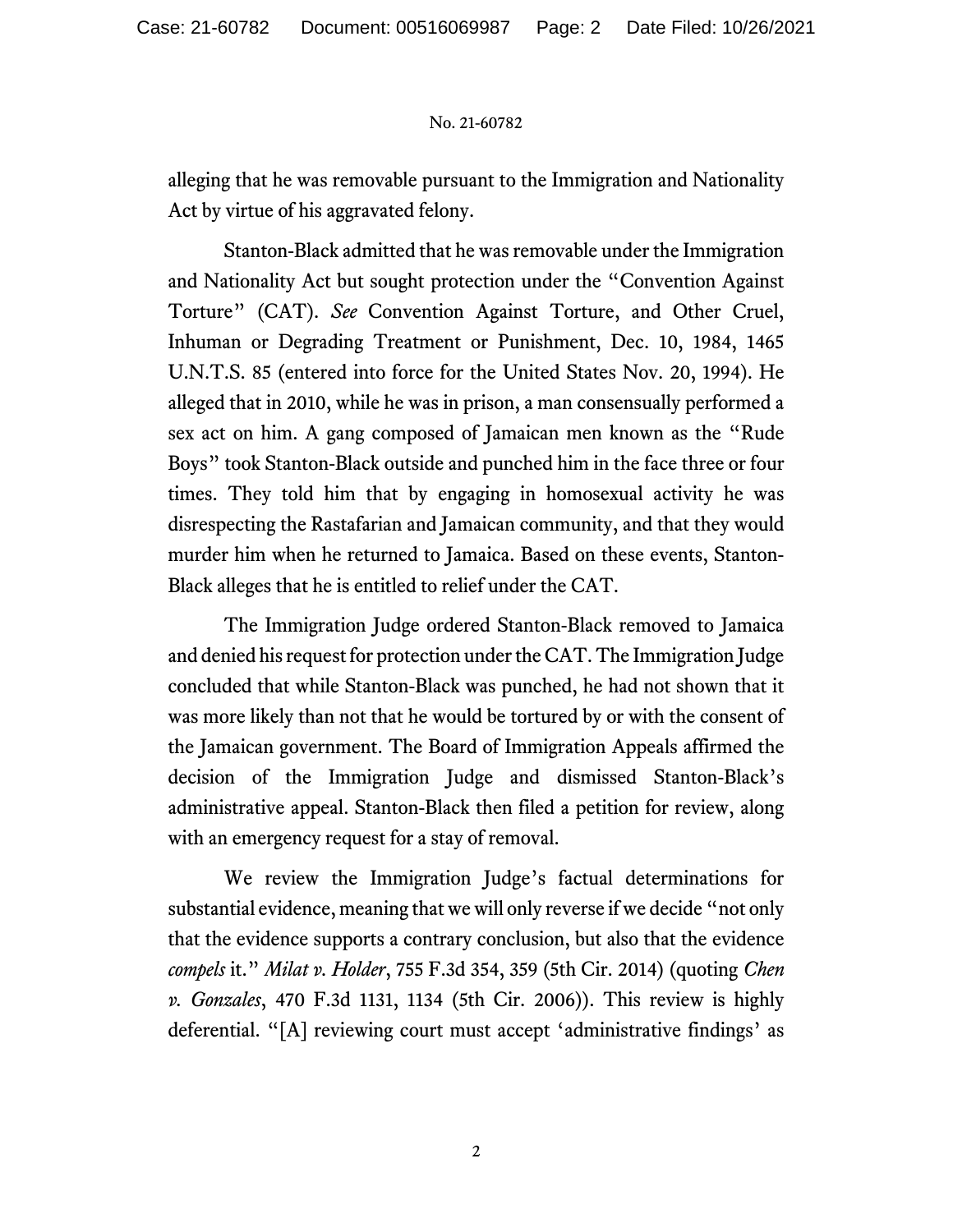alleging that he was removable pursuant to the Immigration and Nationality Act by virtue of his aggravated felony.

Stanton-Black admitted that he was removable under the Immigration and Nationality Act but sought protection under the "Convention Against Torture" (CAT). *See* Convention Against Torture, and Other Cruel, Inhuman or Degrading Treatment or Punishment, Dec. 10, 1984, 1465 U.N.T.S. 85 (entered into force for the United States Nov. 20, 1994). He alleged that in 2010, while he was in prison, a man consensually performed a sex act on him. A gang composed of Jamaican men known as the "Rude Boys" took Stanton-Black outside and punched him in the face three or four times. They told him that by engaging in homosexual activity he was disrespecting the Rastafarian and Jamaican community, and that they would murder him when he returned to Jamaica. Based on these events, Stanton-Black alleges that he is entitled to relief under the CAT.

The Immigration Judge ordered Stanton-Black removed to Jamaica and denied his request for protection under the CAT. The Immigration Judge concluded that while Stanton-Black was punched, he had not shown that it was more likely than not that he would be tortured by or with the consent of the Jamaican government. The Board of Immigration Appeals affirmed the decision of the Immigration Judge and dismissed Stanton-Black's administrative appeal. Stanton-Black then filed a petition for review, along with an emergency request for a stay of removal.

We review the Immigration Judge's factual determinations for substantial evidence, meaning that we will only reverse if we decide "not only that the evidence supports a contrary conclusion, but also that the evidence *compels* it." *Milat v. Holder*, 755 F.3d 354, 359 (5th Cir. 2014) (quoting *Chen v. Gonzales*, 470 F.3d 1131, 1134 (5th Cir. 2006)). This review is highly deferential. "[A] reviewing court must accept 'administrative findings' as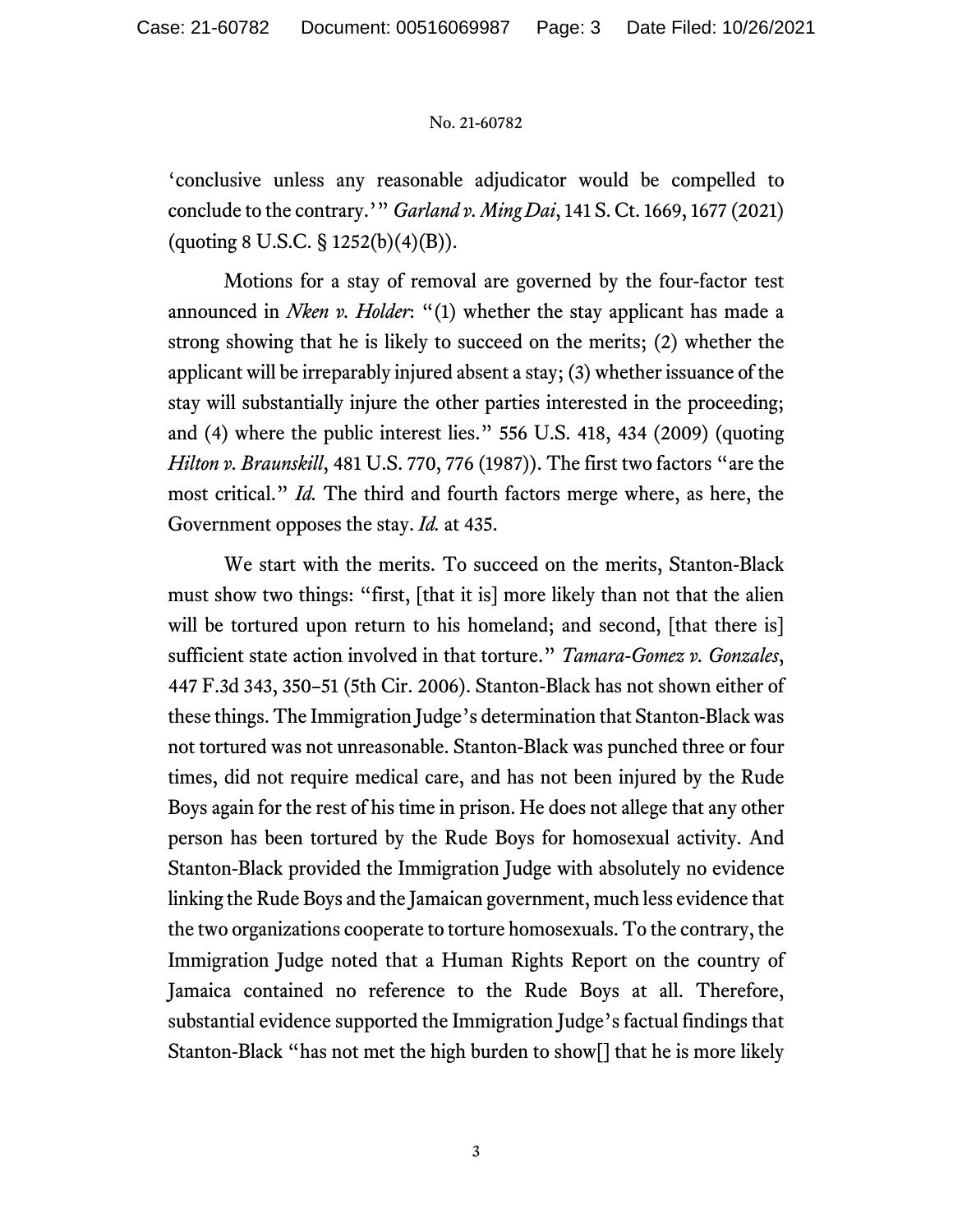'conclusive unless any reasonable adjudicator would be compelled to conclude to the contrary.'" *Garland v. Ming Dai*, 141 S. Ct. 1669, 1677 (2021) (quoting 8 U.S.C. § 1252(b)(4)(B)).

Motions for a stay of removal are governed by the four-factor test announced in *Nken v. Holder*: "(1) whether the stay applicant has made a strong showing that he is likely to succeed on the merits; (2) whether the applicant will be irreparably injured absent a stay; (3) whether issuance of the stay will substantially injure the other parties interested in the proceeding; and (4) where the public interest lies." 556 U.S. 418, 434 (2009) (quoting *Hilton v. Braunskill*, 481 U.S. 770, 776 (1987)). The first two factors "are the most critical." *Id.* The third and fourth factors merge where, as here, the Government opposes the stay. *Id.* at 435.

We start with the merits. To succeed on the merits, Stanton-Black must show two things: "first, [that it is] more likely than not that the alien will be tortured upon return to his homeland; and second, [that there is] sufficient state action involved in that torture." *Tamara-Gomez v. Gonzales*, 447 F.3d 343, 350–51 (5th Cir. 2006). Stanton-Black has not shown either of these things. The Immigration Judge's determination that Stanton-Black was not tortured was not unreasonable. Stanton-Black was punched three or four times, did not require medical care, and has not been injured by the Rude Boys again for the rest of his time in prison. He does not allege that any other person has been tortured by the Rude Boys for homosexual activity. And Stanton-Black provided the Immigration Judge with absolutely no evidence linking the Rude Boys and the Jamaican government, much less evidence that the two organizations cooperate to torture homosexuals. To the contrary, the Immigration Judge noted that a Human Rights Report on the country of Jamaica contained no reference to the Rude Boys at all. Therefore, substantial evidence supported the Immigration Judge's factual findings that Stanton-Black "has not met the high burden to show[] that he is more likely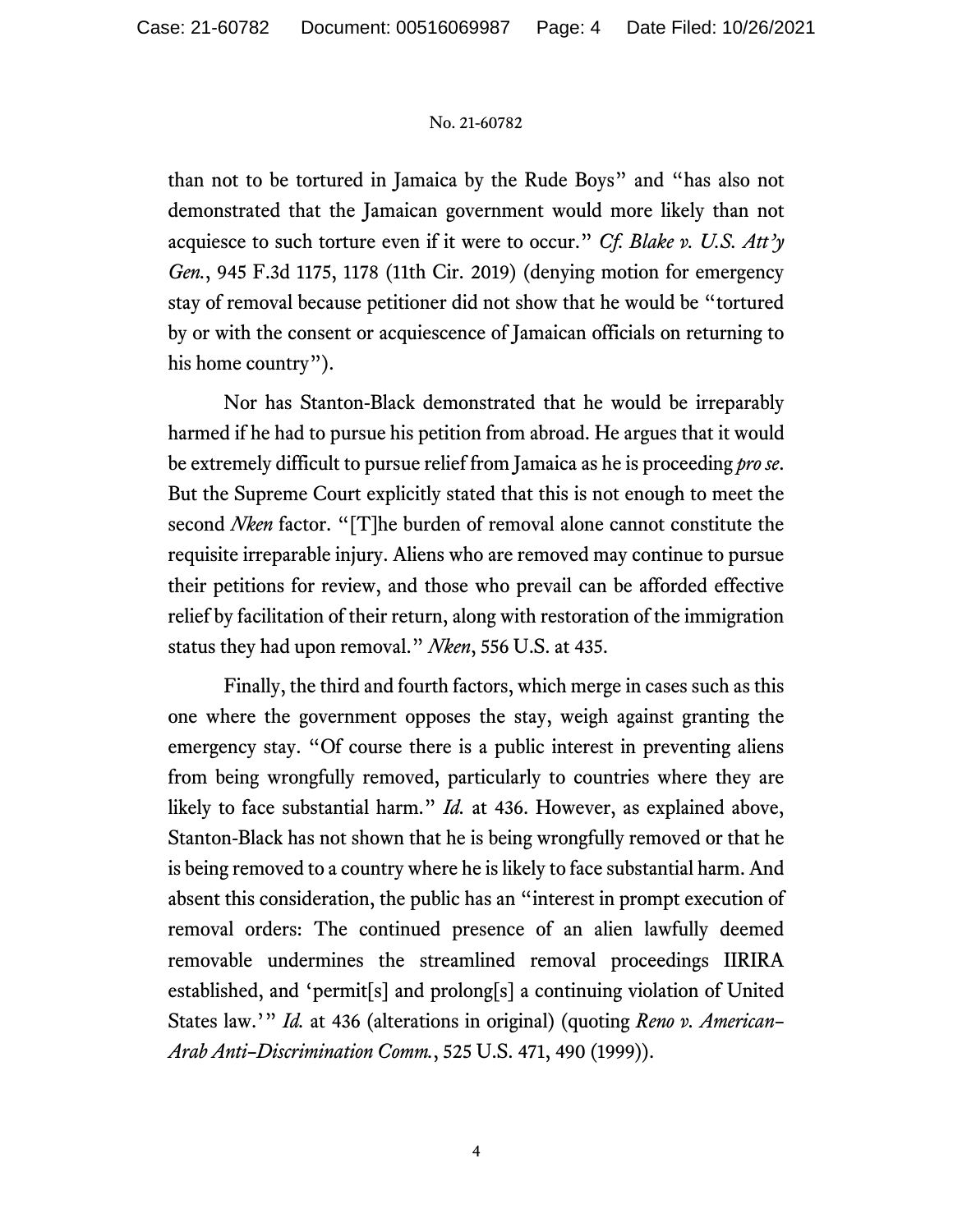than not to be tortured in Jamaica by the Rude Boys" and "has also not demonstrated that the Jamaican government would more likely than not acquiesce to such torture even if it were to occur." *Cf. Blake v. U.S. Att'y Gen.*, 945 F.3d 1175, 1178 (11th Cir. 2019) (denying motion for emergency stay of removal because petitioner did not show that he would be "tortured by or with the consent or acquiescence of Jamaican officials on returning to his home country").

Nor has Stanton-Black demonstrated that he would be irreparably harmed if he had to pursue his petition from abroad. He argues that it would be extremely difficult to pursue relief from Jamaica as he is proceeding *pro se*. But the Supreme Court explicitly stated that this is not enough to meet the second *Nken* factor. "[T]he burden of removal alone cannot constitute the requisite irreparable injury. Aliens who are removed may continue to pursue their petitions for review, and those who prevail can be afforded effective relief by facilitation of their return, along with restoration of the immigration status they had upon removal." *Nken*, 556 U.S. at 435.

Finally, the third and fourth factors, which merge in cases such as this one where the government opposes the stay, weigh against granting the emergency stay. "Of course there is a public interest in preventing aliens from being wrongfully removed, particularly to countries where they are likely to face substantial harm." *Id.* at 436. However, as explained above, Stanton-Black has not shown that he is being wrongfully removed or that he is being removed to a country where he is likely to face substantial harm. And absent this consideration, the public has an "interest in prompt execution of removal orders: The continued presence of an alien lawfully deemed removable undermines the streamlined removal proceedings IIRIRA established, and 'permit[s] and prolong[s] a continuing violation of United States law.'" *Id.* at 436 (alterations in original) (quoting *Reno v. American– Arab Anti–Discrimination Comm.*, 525 U.S. 471, 490 (1999)).